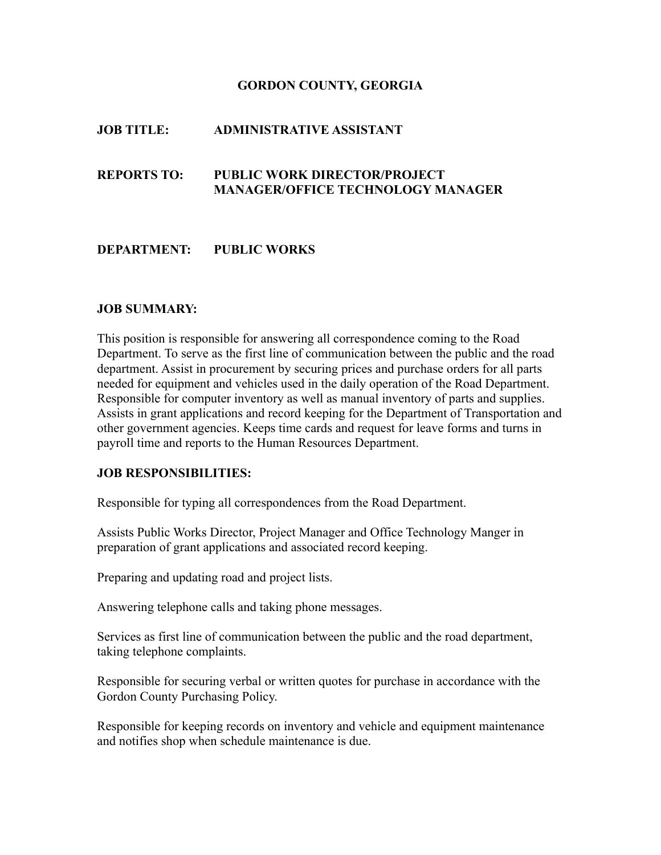### **GORDON COUNTY, GEORGIA**

## **JOB TITLE: ADMINISTRATIVE ASSISTANT**

# **REPORTS TO: PUBLIC WORK DIRECTOR/PROJECT MANAGER/OFFICE TECHNOLOGY MANAGER**

### **DEPARTMENT: PUBLIC WORKS**

#### **JOB SUMMARY:**

This position is responsible for answering all correspondence coming to the Road Department. To serve as the first line of communication between the public and the road department. Assist in procurement by securing prices and purchase orders for all parts needed for equipment and vehicles used in the daily operation of the Road Department. Responsible for computer inventory as well as manual inventory of parts and supplies. Assists in grant applications and record keeping for the Department of Transportation and other government agencies. Keeps time cards and request for leave forms and turns in payroll time and reports to the Human Resources Department.

#### **JOB RESPONSIBILITIES:**

Responsible for typing all correspondences from the Road Department.

Assists Public Works Director, Project Manager and Office Technology Manger in preparation of grant applications and associated record keeping.

Preparing and updating road and project lists.

Answering telephone calls and taking phone messages.

Services as first line of communication between the public and the road department, taking telephone complaints.

Responsible for securing verbal or written quotes for purchase in accordance with the Gordon County Purchasing Policy.

Responsible for keeping records on inventory and vehicle and equipment maintenance and notifies shop when schedule maintenance is due.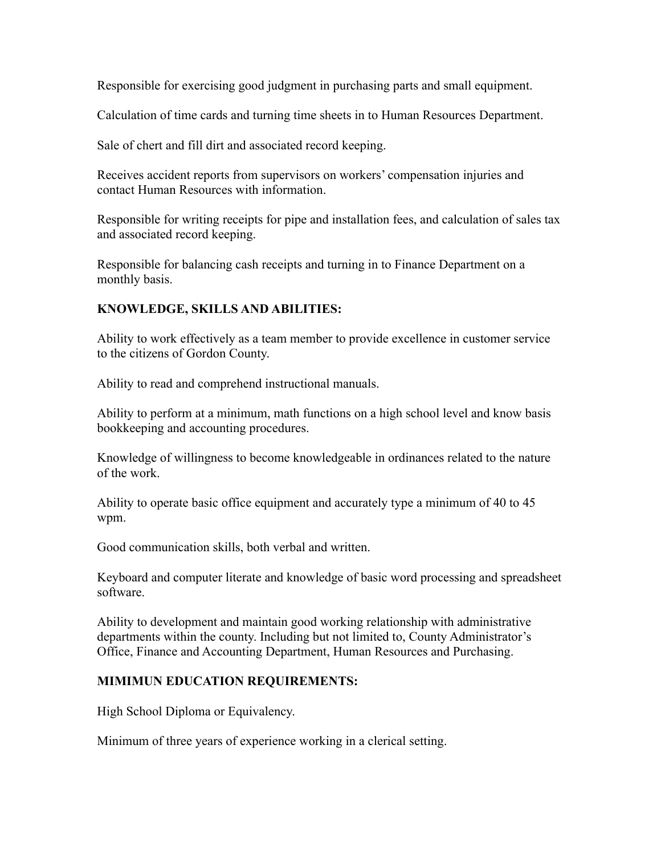Responsible for exercising good judgment in purchasing parts and small equipment.

Calculation of time cards and turning time sheets in to Human Resources Department.

Sale of chert and fill dirt and associated record keeping.

Receives accident reports from supervisors on workers' compensation injuries and contact Human Resources with information.

Responsible for writing receipts for pipe and installation fees, and calculation of sales tax and associated record keeping.

Responsible for balancing cash receipts and turning in to Finance Department on a monthly basis.

### **KNOWLEDGE, SKILLS AND ABILITIES:**

Ability to work effectively as a team member to provide excellence in customer service to the citizens of Gordon County.

Ability to read and comprehend instructional manuals.

Ability to perform at a minimum, math functions on a high school level and know basis bookkeeping and accounting procedures.

Knowledge of willingness to become knowledgeable in ordinances related to the nature of the work.

Ability to operate basic office equipment and accurately type a minimum of 40 to 45 wpm.

Good communication skills, both verbal and written.

Keyboard and computer literate and knowledge of basic word processing and spreadsheet software.

Ability to development and maintain good working relationship with administrative departments within the county. Including but not limited to, County Administrator's Office, Finance and Accounting Department, Human Resources and Purchasing.

### **MIMIMUN EDUCATION REQUIREMENTS:**

High School Diploma or Equivalency.

Minimum of three years of experience working in a clerical setting.